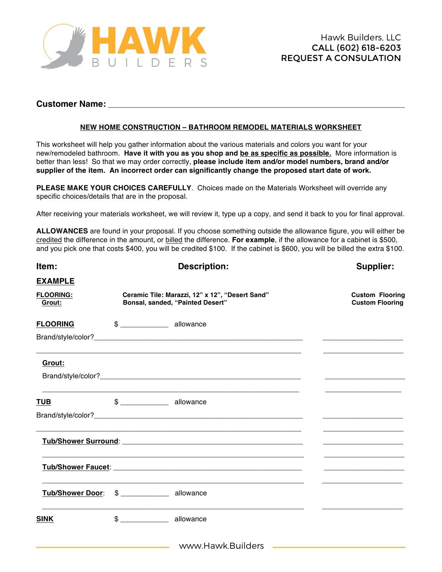

## **Customer Name:** \_\_\_\_\_\_\_\_\_\_\_\_\_\_\_\_\_\_\_\_\_\_\_\_\_\_\_\_\_\_\_\_\_\_\_\_\_\_\_\_\_\_\_\_\_\_\_\_\_\_\_\_\_\_\_\_\_\_\_\_\_\_\_\_\_\_\_\_\_\_\_\_\_\_

## **NEW HOME CONSTRUCTION – BATHROOM REMODEL MATERIALS WORKSHEET**

This worksheet will help you gather information about the various materials and colors you want for your new/remodeled bathroom. **Have it with you as you shop and be as specific as possible.** More information is better than less! So that we may order correctly, **please include item and/or model numbers, brand and/or supplier of the item. An incorrect order can significantly change the proposed start date of work.** 

**PLEASE MAKE YOUR CHOICES CAREFULLY**. Choices made on the Materials Worksheet will override any specific choices/details that are in the proposal.

After receiving your materials worksheet, we will review it, type up a copy, and send it back to you for final approval.

**ALLOWANCES** are found in your proposal. If you choose something outside the allowance figure, you will either be credited the difference in the amount, or billed the difference. **For example**, if the allowance for a cabinet is \$500, and you pick one that costs \$400, you will be credited \$100. If the cabinet is \$600, you will be billed the extra \$100.

| Item:                                      | <b>Description:</b>                                                                 | Supplier:                                        |
|--------------------------------------------|-------------------------------------------------------------------------------------|--------------------------------------------------|
| <b>EXAMPLE</b>                             |                                                                                     |                                                  |
| <b>FLOORING:</b><br>Grout:                 | Ceramic Tile: Marazzi, 12" x 12", "Desert Sand"<br>Bonsal, sanded, "Painted Desert" | <b>Custom Flooring</b><br><b>Custom Flooring</b> |
| <b>FLOORING</b>                            |                                                                                     |                                                  |
|                                            |                                                                                     |                                                  |
| Grout:                                     |                                                                                     |                                                  |
|                                            |                                                                                     |                                                  |
| TUB                                        | \$ _________________ allowance                                                      |                                                  |
|                                            |                                                                                     |                                                  |
|                                            |                                                                                     |                                                  |
|                                            |                                                                                     |                                                  |
| Tub/Shower Door: \$ ____________ allowance |                                                                                     |                                                  |
| <b>SINK</b>                                | \$ _________________ allowance                                                      |                                                  |
|                                            |                                                                                     |                                                  |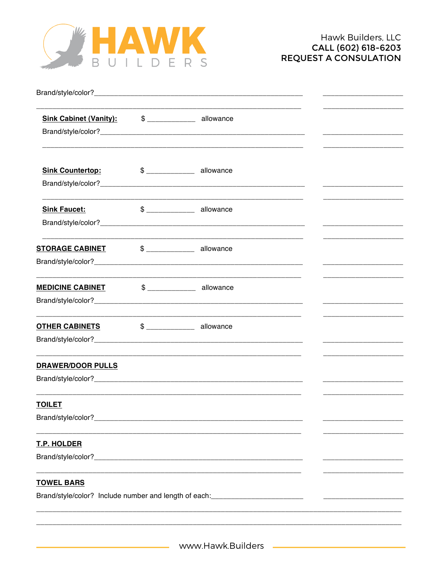

| Sink Cabinet (Vanity): \$ _____________ allowance   |                                                                                  |  |
|-----------------------------------------------------|----------------------------------------------------------------------------------|--|
| <b>Sink Countertop:</b>                             | $$$ ______________ allowance                                                     |  |
| <b>Sink Faucet:</b>                                 | $$$ allowance                                                                    |  |
| <b>STORAGE CABINET</b> \$ ______________ allowance  |                                                                                  |  |
| <b>MEDICINE CABINET</b>                             | $$$ allowance                                                                    |  |
| <b>OTHER CABINETS</b> \$ ________________ allowance |                                                                                  |  |
| <b>DRAWER/DOOR PULLS</b>                            |                                                                                  |  |
| <b>TOILET</b>                                       |                                                                                  |  |
| T.P. HOLDER                                         |                                                                                  |  |
| <b>TOWEL BARS</b>                                   | Brand/style/color? Include number and length of each:___________________________ |  |
|                                                     |                                                                                  |  |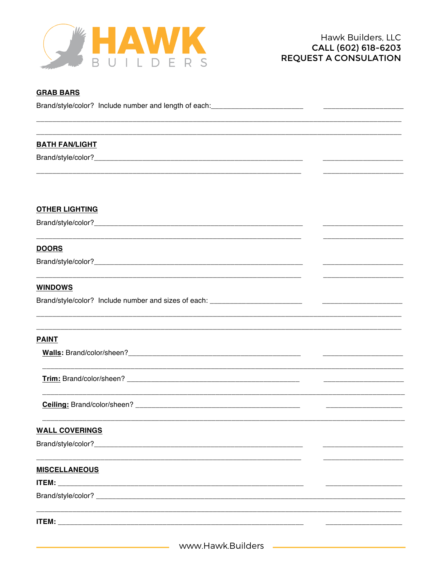

| <b>GRAB BARS</b>                                                                  |  |
|-----------------------------------------------------------------------------------|--|
| Brand/style/color? Include number and length of each: ___________________________ |  |
|                                                                                   |  |
|                                                                                   |  |
| <b>BATH FAN/LIGHT</b>                                                             |  |
|                                                                                   |  |
|                                                                                   |  |
|                                                                                   |  |
|                                                                                   |  |
| <b>OTHER LIGHTING</b>                                                             |  |
|                                                                                   |  |
|                                                                                   |  |
| <b>DOORS</b>                                                                      |  |
|                                                                                   |  |
|                                                                                   |  |
| <b>WINDOWS</b>                                                                    |  |
|                                                                                   |  |
|                                                                                   |  |
|                                                                                   |  |
| <b>PAINT</b>                                                                      |  |
|                                                                                   |  |
|                                                                                   |  |
|                                                                                   |  |
|                                                                                   |  |
|                                                                                   |  |
|                                                                                   |  |
| <b>WALL COVERINGS</b>                                                             |  |
|                                                                                   |  |
|                                                                                   |  |
| <b>MISCELLANEOUS</b>                                                              |  |
|                                                                                   |  |
|                                                                                   |  |
|                                                                                   |  |
|                                                                                   |  |
|                                                                                   |  |
|                                                                                   |  |